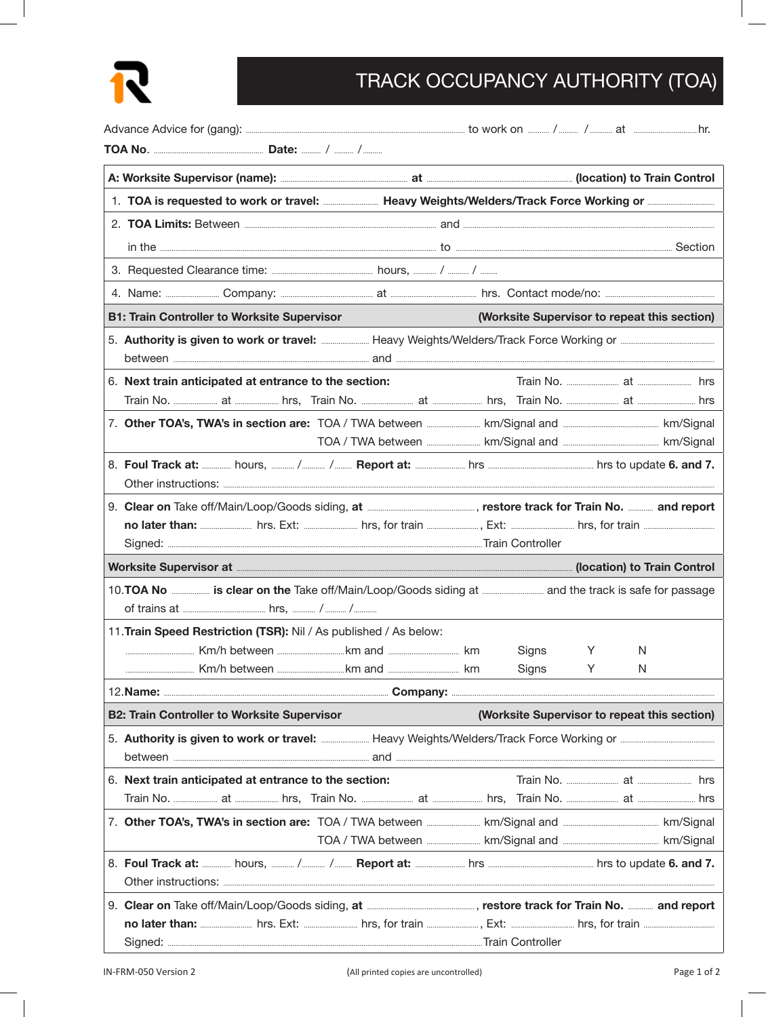

## TRACK OCCUPANCY AUTHORITY (TOA)

|                                                                                                                    | 2. TOA Limits: Between <b>Example 2.</b> and <b>Example 2.</b> TOA Limits: Between <b>Example 2.</b> TOA Limits: Between <b>Example 2.</b> and <b>Example 2.</b> TOA Limits: Between <b>Example 2.</b> To Between <b>Example 2.</b> To Between <b>Example 2.</b> To Be |                                                                                                                                |                                              |   |   |  |  |  |
|--------------------------------------------------------------------------------------------------------------------|------------------------------------------------------------------------------------------------------------------------------------------------------------------------------------------------------------------------------------------------------------------------|--------------------------------------------------------------------------------------------------------------------------------|----------------------------------------------|---|---|--|--|--|
|                                                                                                                    |                                                                                                                                                                                                                                                                        | in the <u>Exercise Constantino and the Constantino and the Constantino and the Constantino and the Constantino and Section</u> |                                              |   |   |  |  |  |
|                                                                                                                    |                                                                                                                                                                                                                                                                        |                                                                                                                                |                                              |   |   |  |  |  |
|                                                                                                                    |                                                                                                                                                                                                                                                                        |                                                                                                                                |                                              |   |   |  |  |  |
| <b>B1: Train Controller to Worksite Supervisor</b>                                                                 |                                                                                                                                                                                                                                                                        |                                                                                                                                | (Worksite Supervisor to repeat this section) |   |   |  |  |  |
|                                                                                                                    |                                                                                                                                                                                                                                                                        |                                                                                                                                |                                              |   |   |  |  |  |
| 6. Next train anticipated at entrance to the section:                                                              |                                                                                                                                                                                                                                                                        |                                                                                                                                |                                              |   |   |  |  |  |
|                                                                                                                    |                                                                                                                                                                                                                                                                        |                                                                                                                                |                                              |   |   |  |  |  |
|                                                                                                                    |                                                                                                                                                                                                                                                                        |                                                                                                                                |                                              |   |   |  |  |  |
|                                                                                                                    |                                                                                                                                                                                                                                                                        |                                                                                                                                |                                              |   |   |  |  |  |
|                                                                                                                    |                                                                                                                                                                                                                                                                        |                                                                                                                                |                                              |   |   |  |  |  |
|                                                                                                                    |                                                                                                                                                                                                                                                                        |                                                                                                                                |                                              |   |   |  |  |  |
|                                                                                                                    |                                                                                                                                                                                                                                                                        |                                                                                                                                |                                              |   |   |  |  |  |
|                                                                                                                    |                                                                                                                                                                                                                                                                        |                                                                                                                                |                                              |   |   |  |  |  |
|                                                                                                                    |                                                                                                                                                                                                                                                                        |                                                                                                                                |                                              |   |   |  |  |  |
| 10. TOA No <b>will be about the Take off/Main/Loop/Goods siding at will be about the track is safe for passage</b> |                                                                                                                                                                                                                                                                        |                                                                                                                                |                                              |   |   |  |  |  |
| 11. Train Speed Restriction (TSR): Nil / As published / As below:                                                  |                                                                                                                                                                                                                                                                        |                                                                                                                                |                                              |   |   |  |  |  |
|                                                                                                                    |                                                                                                                                                                                                                                                                        |                                                                                                                                | Signs                                        | Y | N |  |  |  |
|                                                                                                                    |                                                                                                                                                                                                                                                                        |                                                                                                                                | Signs                                        | Y | N |  |  |  |
|                                                                                                                    |                                                                                                                                                                                                                                                                        |                                                                                                                                |                                              |   |   |  |  |  |
| <b>B2: Train Controller to Worksite Supervisor</b><br>(Worksite Supervisor to repeat this section)                 |                                                                                                                                                                                                                                                                        |                                                                                                                                |                                              |   |   |  |  |  |
|                                                                                                                    |                                                                                                                                                                                                                                                                        |                                                                                                                                |                                              |   |   |  |  |  |
| 6. Next train anticipated at entrance to the section:                                                              |                                                                                                                                                                                                                                                                        |                                                                                                                                |                                              |   |   |  |  |  |
|                                                                                                                    |                                                                                                                                                                                                                                                                        |                                                                                                                                |                                              |   |   |  |  |  |
|                                                                                                                    |                                                                                                                                                                                                                                                                        |                                                                                                                                |                                              |   |   |  |  |  |
|                                                                                                                    |                                                                                                                                                                                                                                                                        |                                                                                                                                |                                              |   |   |  |  |  |
|                                                                                                                    |                                                                                                                                                                                                                                                                        |                                                                                                                                |                                              |   |   |  |  |  |
|                                                                                                                    |                                                                                                                                                                                                                                                                        |                                                                                                                                |                                              |   |   |  |  |  |
|                                                                                                                    |                                                                                                                                                                                                                                                                        |                                                                                                                                |                                              |   |   |  |  |  |
|                                                                                                                    |                                                                                                                                                                                                                                                                        |                                                                                                                                |                                              |   |   |  |  |  |